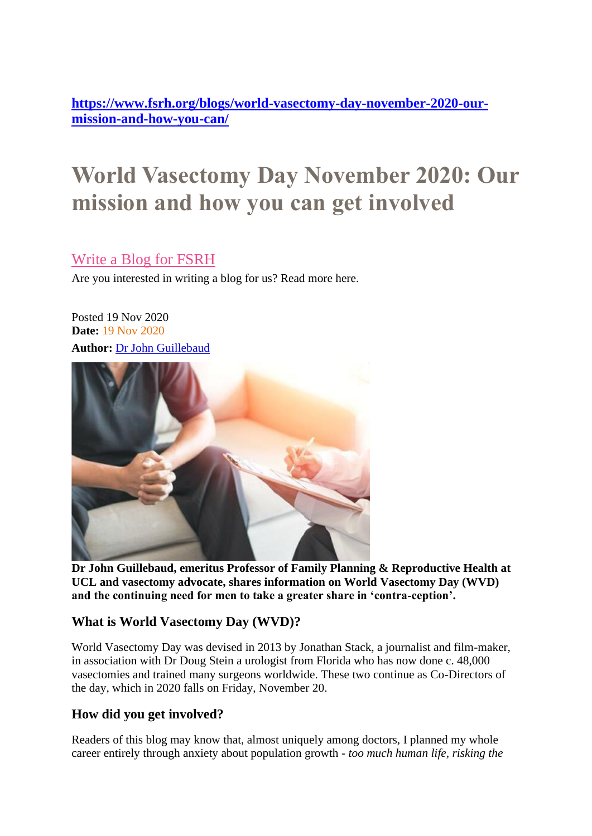**[https://www.fsrh.org/blogs/world-vasectomy-day-november-2020-our](https://www.fsrh.org/blogs/world-vasectomy-day-november-2020-our-mission-and-how-you-can/)[mission-and-how-you-can/](https://www.fsrh.org/blogs/world-vasectomy-day-november-2020-our-mission-and-how-you-can/)**

# **World Vasectomy Day November 2020: Our mission and how you can get involved**

## [Write a Blog for FSRH](https://www.fsrh.org/blogs/world-vasectomy-day-november-2020-our-mission-and-how-you-can/?module=banners&action=banner&banner=24)

Are you interested in writing a blog for us? Read more here.

Posted 19 Nov 2020 **Date:** 19 Nov 2020 **Author:** [Dr John Guillebaud](https://www.fsrh.org/authors/dr-john-guillebaud)



**Dr John Guillebaud, emeritus Professor of Family Planning & Reproductive Health at UCL and vasectomy advocate, shares information on World Vasectomy Day (WVD) and the continuing need for men to take a greater share in 'contra-ception'.**

### **What is World Vasectomy Day (WVD)?**

World Vasectomy Day was devised in 2013 by Jonathan Stack, a journalist and film-maker, in association with Dr Doug Stein a urologist from Florida who has now done c. 48,000 vasectomies and trained many surgeons worldwide. These two continue as Co-Directors of the day, which in 2020 falls on Friday, November 20.

### **How did you get involved?**

Readers of this blog may know that, almost uniquely among doctors, I planned my whole career entirely through anxiety about population growth - *too much human life, risking the*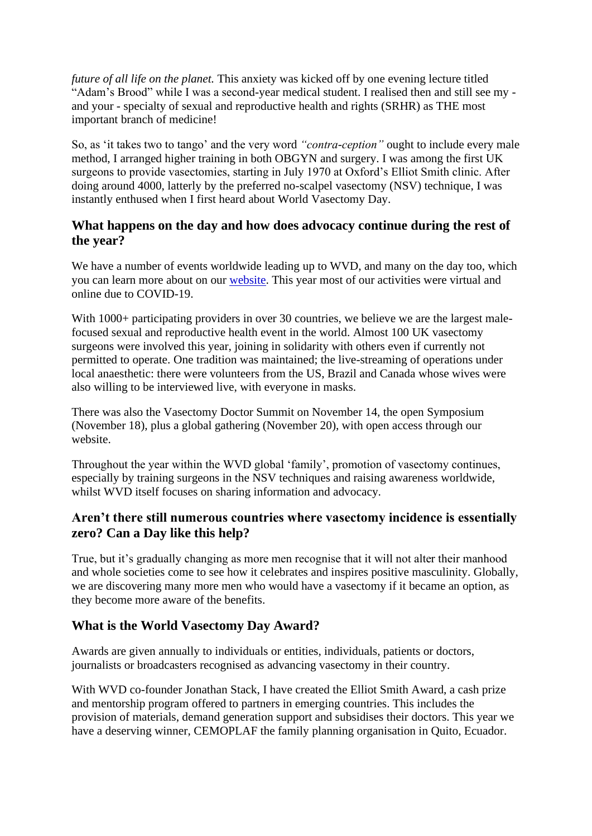*future of all life on the planet.* This anxiety was kicked off by one evening lecture titled "Adam's Brood" while I was a second-year medical student. I realised then and still see my and your - specialty of sexual and reproductive health and rights (SRHR) as THE most important branch of medicine!

So, as 'it takes two to tango' and the very word *"contra-ception"* ought to include every male method, I arranged higher training in both OBGYN and surgery. I was among the first UK surgeons to provide vasectomies, starting in July 1970 at Oxford's Elliot Smith clinic. After doing around 4000, latterly by the preferred no-scalpel vasectomy (NSV) technique, I was instantly enthused when I first heard about World Vasectomy Day.

#### **What happens on the day and how does advocacy continue during the rest of the year?**

We have a number of events worldwide leading up to WVD, and many on the day too, which you can learn more about on our [website.](https://www.worldvasectomyday.org/) This year most of our activities were virtual and online due to COVID-19.

With 1000+ participating providers in over 30 countries, we believe we are the largest malefocused sexual and reproductive health event in the world. Almost 100 UK vasectomy surgeons were involved this year, joining in solidarity with others even if currently not permitted to operate. One tradition was maintained; the live-streaming of operations under local anaesthetic: there were volunteers from the US, Brazil and Canada whose wives were also willing to be interviewed live, with everyone in masks.

There was also the Vasectomy Doctor Summit on November 14, the open Symposium (November 18), plus a global gathering (November 20), with open access through our website.

Throughout the year within the WVD global 'family', promotion of vasectomy continues, especially by training surgeons in the NSV techniques and raising awareness worldwide, whilst WVD itself focuses on sharing information and advocacy.

#### **Aren't there still numerous countries where vasectomy incidence is essentially zero? Can a Day like this help?**

True, but it's gradually changing as more men recognise that it will not alter their manhood and whole societies come to see how it celebrates and inspires positive masculinity. Globally, we are discovering many more men who would have a vasectomy if it became an option, as they become more aware of the benefits.

### **What is the World Vasectomy Day Award?**

Awards are given annually to individuals or entities, individuals, patients or doctors, journalists or broadcasters recognised as advancing vasectomy in their country.

With WVD co-founder Jonathan Stack, I have created the Elliot Smith Award, a cash prize and mentorship program offered to partners in emerging countries. This includes the provision of materials, demand generation support and subsidises their doctors. This year we have a deserving winner, CEMOPLAF the family planning organisation in Quito, Ecuador.